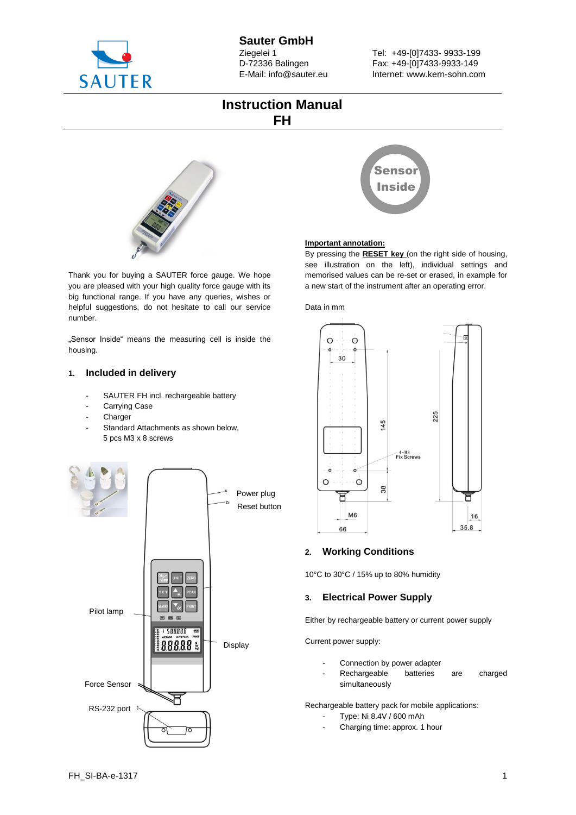

Tel: +49-[0]7433- 9933-199 Fax: +49-[0]7433-9933-149 Internet: www.kern-sohn.com

## **Instruction Manual FH**



Thank you for buying a SAUTER force gauge. We hope you are pleased with your high quality force gauge with its big functional range. If you have any queries, wishes or helpful suggestions, do not hesitate to call our service number.

"Sensor Inside" means the measuring cell is inside the housing.

## **1. Included in delivery**

- SAUTER FH incl. rechargeable battery
- Carrying Case
- **Charger**
- Standard Attachments as shown below, 5 pcs M3 x 8 screws





### **Important annotation:**

By pressing the **RESET key** (on the right side of housing, see illustration on the left), individual settings and memorised values can be re-set or erased, in example for a new start of the instrument after an operating error.

### Data in mm



## **2. Working Conditions**

10°C to 30°C / 15% up to 80% humidity

## **3. Electrical Power Supply**

Either by rechargeable battery or current power supply

Current power supply:

- Connection by power adapter
- Rechargeable batteries are charged simultaneously

Rechargeable battery pack for mobile applications:

- Type: Ni 8.4V / 600 mAh
- Charging time: approx. 1 hour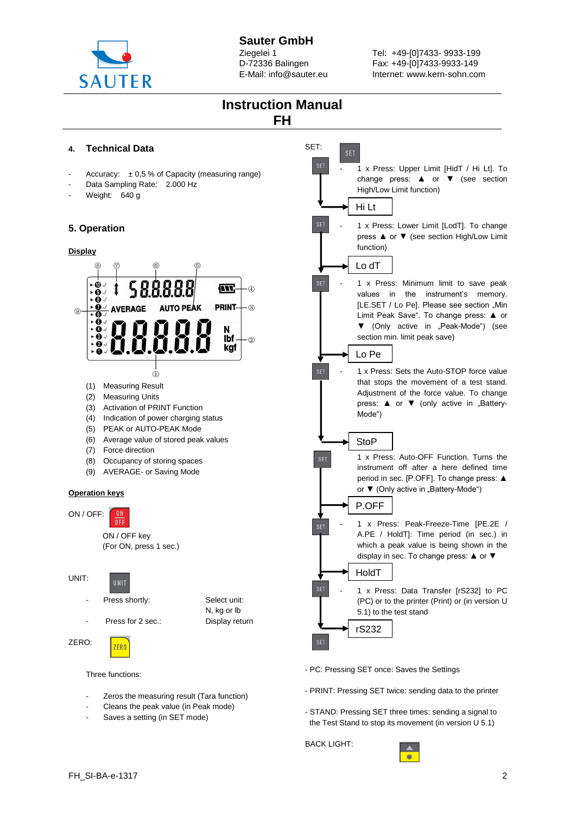

# **Sauter GmbH**

Ziegelei 1 D-72336 Balingen E-Mail: info@sauter.eu Tel: +49-[0]7433- 9933-199 Fax: +49-[0]7433-9933-149 Internet: www.kern-sohn.com



## BACK LIGHT:



UNIT:

 $\overline{Q}$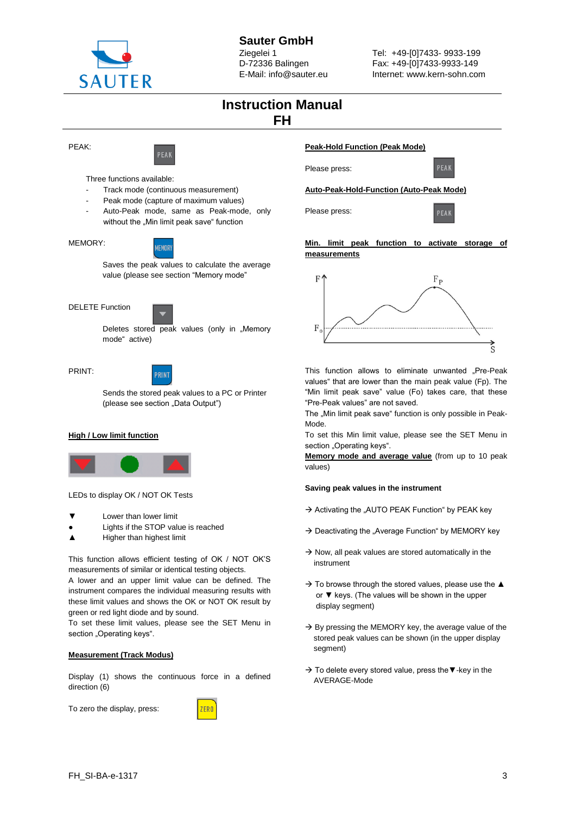

Tel: +49-[0]7433- 9933-199 Fax: +49-[0]7433-9933-149 Internet: www.kern-sohn.com

## **Instruction Manual FH**

PEAK:



Three functions available:

- Track mode (continuous measurement)
- Peak mode (capture of maximum values)

**MEMORY** 

Auto-Peak mode, same as Peak-mode, only without the "Min limit peak save" function



Saves the peak values to calculate the average value (please see section "Memory mode"





Deletes stored peak values (only in "Memory mode" active)

#### PRINT:



Sends the stored peak values to a PC or Printer (please see section "Data Output")

### **High / Low limit function**



LEDs to display OK / NOT OK Tests

- Lower than lower limit
- Lights if the STOP value is reached
- Higher than highest limit

This function allows efficient testing of OK / NOT OK'S measurements of similar or identical testing objects.

A lower and an upper limit value can be defined. The instrument compares the individual measuring results with these limit values and shows the OK or NOT OK result by green or red light diode and by sound.

To set these limit values, please see the SET Menu in section "Operating keys".

#### **Measurement (Track Modus)**

Display (1) shows the continuous force in a defined direction (6)

To zero the display, press:



#### **Peak-Hold Function (Peak Mode)**



**Auto-Peak-Hold-Function (Auto-Peak Mode)**

Please press:

Please press:



### **Min. limit peak function to activate storage of measurements**



This function allows to eliminate unwanted "Pre-Peak values" that are lower than the main peak value (Fp). The "Min limit peak save" value (Fo) takes care, that these "Pre-Peak values" are not saved.

The "Min limit peak save" function is only possible in Peak-Mode.

To set this Min limit value, please see the SET Menu in section "Operating keys".

**Memory mode and average value** (from up to 10 peak values)

#### **Saving peak values in the instrument**

- $\rightarrow$  Activating the "AUTO PEAK Function" by PEAK key
- $\rightarrow$  Deactivating the "Average Function" by MEMORY key
- $\rightarrow$  Now, all peak values are stored automatically in the instrument
- $\rightarrow$  To browse through the stored values, please use the  $\blacktriangle$  or ▼ keys. (The values will be shown in the upper display segment)
- $\rightarrow$  By pressing the MEMORY key, the average value of the stored peak values can be shown (in the upper display segment)
- → To delete every stored value, press the - key in the AVERAGE-Mode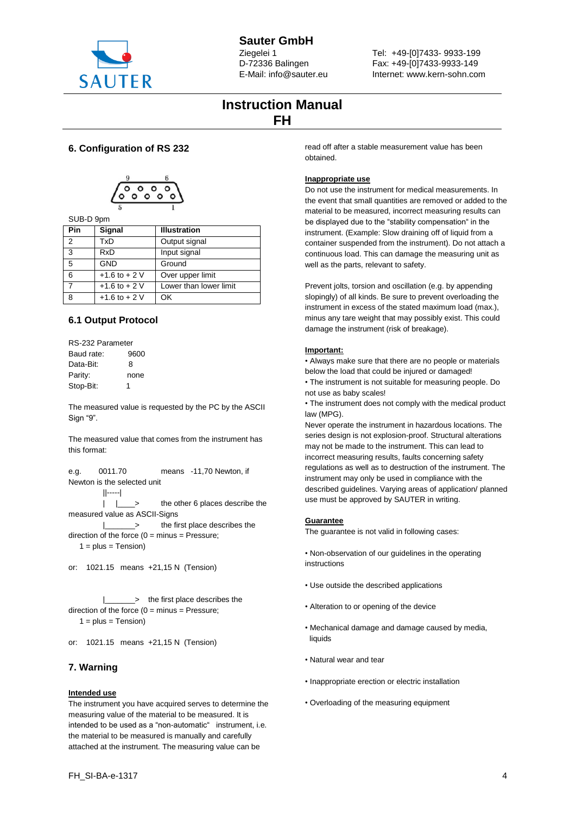

## **Sauter GmbH**

Ziegelei 1 D-72336 Balingen E-Mail: info@sauter.eu Tel: +49-[0]7433- 9933-199 Fax: +49-[0]7433-9933-149 Internet: www.kern-sohn.com

## **Instruction Manual FH**

## **6. Configuration of RS 232**



## SUB-D 9pm

| Pin | Signal            | <b>Illustration</b>    |
|-----|-------------------|------------------------|
| 2   | TxD               | Output signal          |
| 3   | <b>RxD</b>        | Input signal           |
| 5   | <b>GND</b>        | Ground                 |
| 6   | $+1.6$ to $+ 2$ V | Over upper limit       |
| 7   | $+1.6$ to $+2$ V  | Lower than lower limit |
| 8   | $+1.6$ to $+2$ V  | OK                     |

## **6.1 Output Protocol**

RS-232 Parameter Baud rate: 9600 Data-Bit: 8 Parity: none Stop-Bit: 1

The measured value is requested by the PC by the ASCII Sign "9".

The measured value that comes from the instrument has this format:

e.g. 0011.70 means -11,70 Newton, if Newton is the selected unit

||-----|

|  $\vert \quad \vert$  > the other 6 places describe the measured value as ASCII-Signs

 |\_\_\_\_\_\_\_> the first place describes the direction of the force  $(0 = \text{minus} = \text{Pressure})$ ;

 $1 = plus = Tension$ 

or: 1021.15 means +21,15 N (Tension)

 |\_\_\_\_\_\_\_> the first place describes the direction of the force  $(0 = \text{minus} = \text{Pressure})$ ;  $1 = plus = Tension$ 

or: 1021.15 means +21,15 N (Tension)

## **7. Warning**

## **Intended use**

The instrument you have acquired serves to determine the measuring value of the material to be measured. It is intended to be used as a "non-automatic" instrument, i.e. the material to be measured is manually and carefully attached at the instrument. The measuring value can be

read off after a stable measurement value has been obtained.

## **Inappropriate use**

Do not use the instrument for medical measurements. In the event that small quantities are removed or added to the material to be measured, incorrect measuring results can be displayed due to the "stability compensation" in the instrument. (Example: Slow draining off of liquid from a container suspended from the instrument). Do not attach a continuous load. This can damage the measuring unit as well as the parts, relevant to safety.

Prevent jolts, torsion and oscillation (e.g. by appending slopingly) of all kinds. Be sure to prevent overloading the instrument in excess of the stated maximum load (max.), minus any tare weight that may possibly exist. This could damage the instrument (risk of breakage).

### **Important:**

• Always make sure that there are no people or materials below the load that could be injured or damaged!

• The instrument is not suitable for measuring people. Do not use as baby scales!

• The instrument does not comply with the medical product law (MPG).

Never operate the instrument in hazardous locations. The series design is not explosion-proof. Structural alterations may not be made to the instrument. This can lead to incorrect measuring results, faults concerning safety regulations as well as to destruction of the instrument. The instrument may only be used in compliance with the described guidelines. Varying areas of application/ planned use must be approved by SAUTER in writing.

### **Guarantee**

The guarantee is not valid in following cases:

• Non-observation of our guidelines in the operating instructions

- Use outside the described applications
- Alteration to or opening of the device
- Mechanical damage and damage caused by media, liquids
- Natural wear and tear
- Inappropriate erection or electric installation
- Overloading of the measuring equipment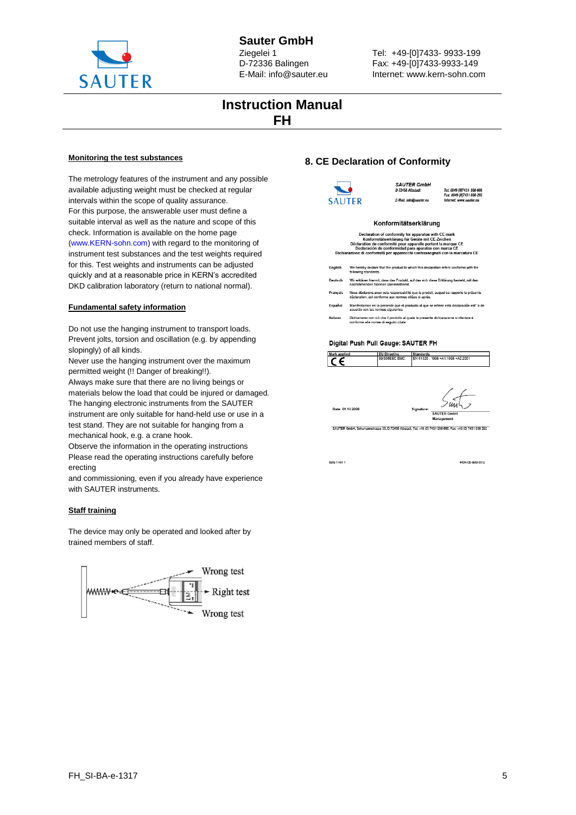

Tel: +49-[0]7433- 9933-199 Fax: +49-[0]7433-9933-149 Internet: www.kern-sohn.com

## **Instruction Manual FH**

#### **Monitoring the test substances**

The metrology features of the instrument and any possible available adjusting weight must be checked at regular intervals within the scope of quality assurance. For this purpose, the answerable user must define a suitable interval as well as the nature and scope of this check. Information is available on the home page (www.KERN-sohn.com) with regard to the monitoring of instrument test substances and the test weights required for this. Test weights and instruments can be adjusted quickly and at a reasonable price in KERN's accredited DKD calibration laboratory (return to national normal).

#### **Fundamental safety information**

Do not use the hanging instrument to transport loads. Prevent jolts, torsion and oscillation (e.g. by appending slopingly) of all kinds.

Never use the hanging instrument over the maximum permitted weight (!! Danger of breaking!!).

Always make sure that there are no living beings or materials below the load that could be injured or damaged. The hanging electronic instruments from the SAUTER instrument are only suitable for hand-held use or use in a test stand. They are not suitable for hanging from a mechanical hook, e.g. a crane hook.

Observe the information in the operating instructions Please read the operating instructions carefully before erecting

and commissioning, even if you already have experience with SAUTER instruments.

#### **Staff training**

The device may only be operated and looked after by trained members of staff.



### **8. CE Declaration of Conformity**



| Déclaration de conformité pour appareils portant la marque CE<br>Declaración de conformidad para aparatos con marca CE<br>Dichiarazione di conformità per apparecchi contrassegnati con la marcatura CE |                                                                                                                                                 |  |  |  |
|---------------------------------------------------------------------------------------------------------------------------------------------------------------------------------------------------------|-------------------------------------------------------------------------------------------------------------------------------------------------|--|--|--|
| Enalish                                                                                                                                                                                                 | We hereby declare that the product to which this declaration refers conforms with the<br>following standards.                                   |  |  |  |
| Deutsch                                                                                                                                                                                                 | Wir erklären hiermit, dass das Produkt, auf das sich diese Erklärung bezieht, mit den<br>nachstehenden Normen übereinstimmt                     |  |  |  |
| Francais                                                                                                                                                                                                | Nous déclarons avec cela responsabilité que le produit, auquel se rapporte la présente<br>déclaration, est conforme aux normes citées ci-après. |  |  |  |
| Español                                                                                                                                                                                                 | Manifestamos en la presente que el producto al que se refiere esta declaración est"a de<br>acuerdo con las normas siguientes                    |  |  |  |
| Italiano                                                                                                                                                                                                | Dichiariamo con ciò che il prodotto al quale la presente dichiarazione si riferisce è<br>conforme alle norme di seguito citate.                 |  |  |  |

#### Digital Push Pull Gauge: SAUTER FH

| <b>Mark applied</b> | <b>EU Directive</b> | <b>Standards</b>                  |
|---------------------|---------------------|-----------------------------------|
|                     | 89/336EEC EMC       | EN 61326 : 1998 +A1:1998 +A2:2001 |
|                     |                     |                                   |

SAUTER Gmb

-<br>SAUTER GmbH, Schumannstrasse 33, D-72458 Albstadt, Tel: +49 (0) 7431 938 666, Fax: +49 (0) 7431 938 292

Seite 1 von 1

Date: 01.10.2006